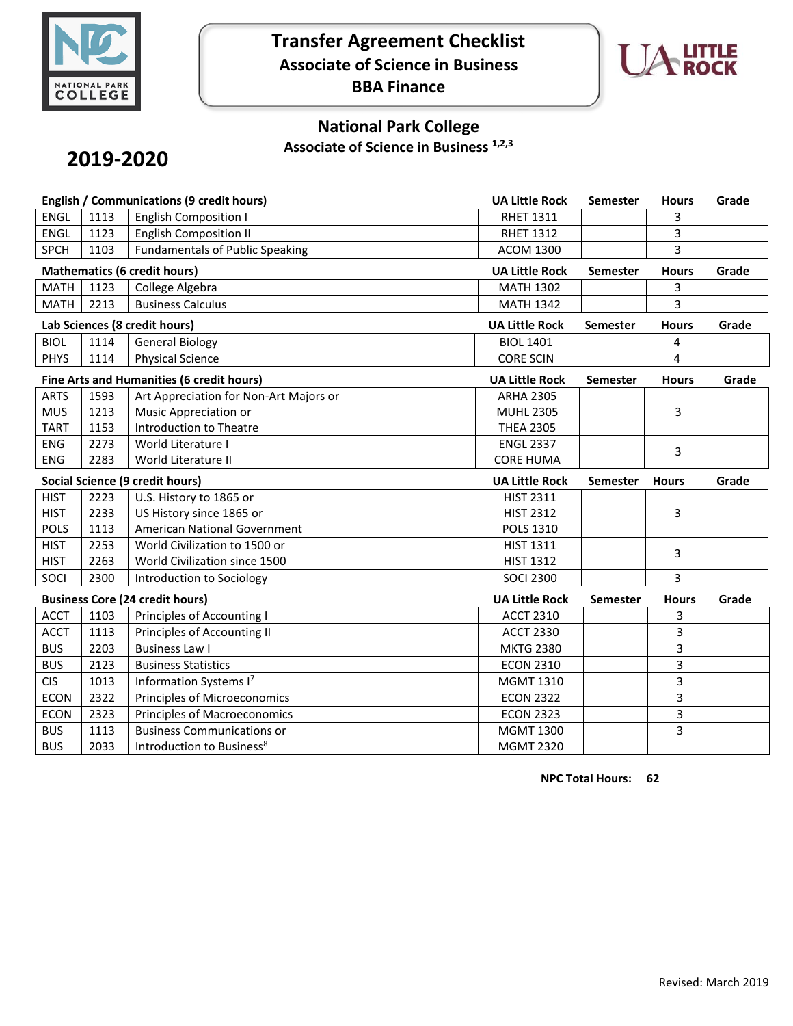

## **Transfer Agreement Checklist Associate of Science in Business BBA Finance**



## **National Park College**

**Associate of Science in Business 1,2,3**

# **2019-2020**

| English / Communications (9 credit hours) |      | <b>UA Little Rock</b>                  | Semester              | <b>Hours</b>    | Grade        |       |
|-------------------------------------------|------|----------------------------------------|-----------------------|-----------------|--------------|-------|
| <b>ENGL</b>                               | 1113 | <b>English Composition I</b>           | <b>RHET 1311</b>      |                 | 3            |       |
| <b>ENGL</b>                               | 1123 | <b>English Composition II</b>          | <b>RHET 1312</b>      |                 | 3            |       |
| <b>SPCH</b>                               | 1103 | <b>Fundamentals of Public Speaking</b> | <b>ACOM 1300</b>      |                 | 3            |       |
| <b>Mathematics (6 credit hours)</b>       |      |                                        | <b>UA Little Rock</b> | Semester        | <b>Hours</b> | Grade |
| <b>MATH</b>                               | 1123 | College Algebra                        | <b>MATH 1302</b>      |                 | 3            |       |
| <b>MATH</b>                               | 2213 | <b>Business Calculus</b>               | <b>MATH 1342</b>      |                 | 3            |       |
| Lab Sciences (8 credit hours)             |      |                                        | <b>UA Little Rock</b> | <b>Semester</b> | <b>Hours</b> | Grade |
| <b>BIOL</b>                               | 1114 | <b>General Biology</b>                 | <b>BIOL 1401</b>      |                 | 4            |       |
| <b>PHYS</b>                               | 1114 | <b>Physical Science</b>                | <b>CORE SCIN</b>      |                 | 4            |       |
| Fine Arts and Humanities (6 credit hours) |      |                                        | <b>UA Little Rock</b> | <b>Semester</b> | <b>Hours</b> | Grade |
| <b>ARTS</b>                               | 1593 | Art Appreciation for Non-Art Majors or | <b>ARHA 2305</b>      |                 |              |       |
| <b>MUS</b>                                | 1213 | Music Appreciation or                  | <b>MUHL 2305</b>      |                 | 3            |       |
| <b>TART</b>                               | 1153 | Introduction to Theatre                | <b>THEA 2305</b>      |                 |              |       |
| <b>ENG</b>                                | 2273 | World Literature I                     | <b>ENGL 2337</b>      |                 | 3            |       |
| <b>ENG</b>                                | 2283 | World Literature II                    | <b>CORE HUMA</b>      |                 |              |       |
| <b>Social Science (9 credit hours)</b>    |      |                                        |                       |                 |              |       |
|                                           |      |                                        | <b>UA Little Rock</b> | <b>Semester</b> | <b>Hours</b> | Grade |
| <b>HIST</b>                               | 2223 | U.S. History to 1865 or                | <b>HIST 2311</b>      |                 |              |       |
| <b>HIST</b>                               | 2233 | US History since 1865 or               | <b>HIST 2312</b>      |                 | 3            |       |
| <b>POLS</b>                               | 1113 | American National Government           | <b>POLS 1310</b>      |                 |              |       |
| <b>HIST</b>                               | 2253 | World Civilization to 1500 or          | <b>HIST 1311</b>      |                 |              |       |
| <b>HIST</b>                               | 2263 | World Civilization since 1500          | <b>HIST 1312</b>      |                 | 3            |       |
| SOCI                                      | 2300 | Introduction to Sociology              | <b>SOCI 2300</b>      |                 | 3            |       |
|                                           |      | <b>Business Core (24 credit hours)</b> | <b>UA Little Rock</b> | <b>Semester</b> | <b>Hours</b> | Grade |
| <b>ACCT</b>                               | 1103 | Principles of Accounting I             | <b>ACCT 2310</b>      |                 | 3            |       |
| <b>ACCT</b>                               | 1113 | Principles of Accounting II            | <b>ACCT 2330</b>      |                 | 3            |       |
| <b>BUS</b>                                | 2203 | <b>Business Law I</b>                  | <b>MKTG 2380</b>      |                 | 3            |       |
| <b>BUS</b>                                | 2123 | <b>Business Statistics</b>             | <b>ECON 2310</b>      |                 | 3            |       |
| <b>CIS</b>                                | 1013 | Information Systems I7                 | <b>MGMT 1310</b>      |                 | 3            |       |
| <b>ECON</b>                               | 2322 | Principles of Microeconomics           | <b>ECON 2322</b>      |                 | 3            |       |
| <b>ECON</b>                               | 2323 | Principles of Macroeconomics           | <b>ECON 2323</b>      |                 | 3            |       |
| <b>BUS</b>                                | 1113 | <b>Business Communications or</b>      | <b>MGMT 1300</b>      |                 | 3            |       |

**NPC Total Hours: 62**